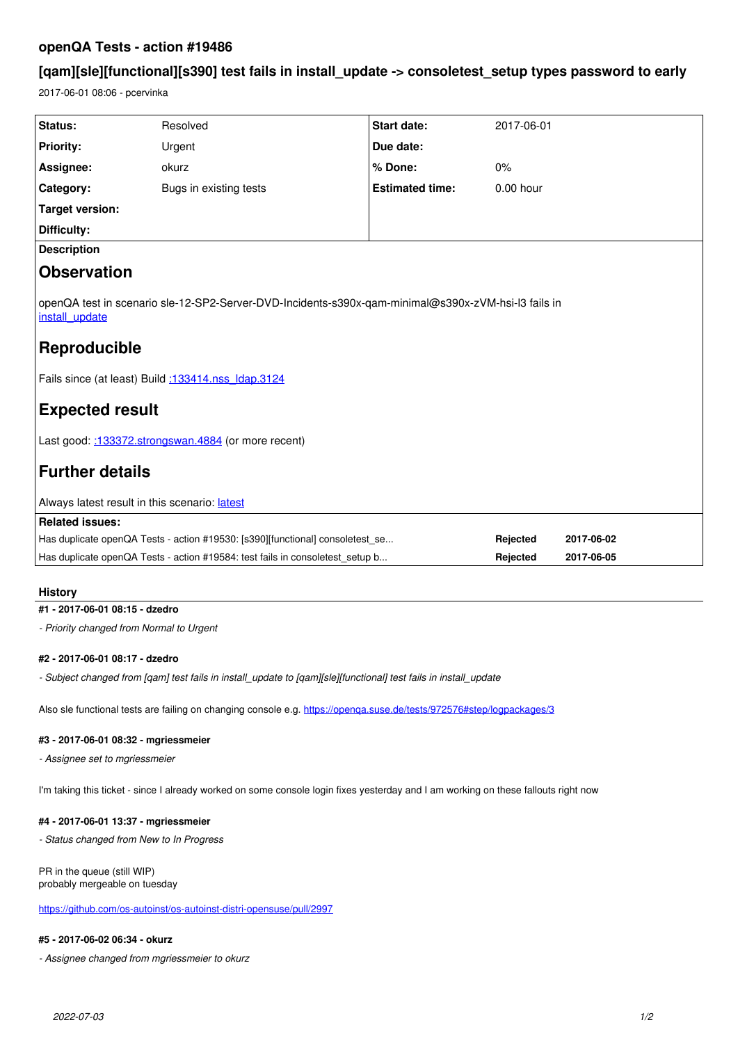## **openQA Tests - action #19486**

# **[qam][sle][functional][s390] test fails in install\_update -> consoletest\_setup types password to early**

2017-06-01 08:06 - pcervinka

| Status:                                                                                                                                                                                                               | Resolved               | <b>Start date:</b>     | 2017-06-01  |            |
|-----------------------------------------------------------------------------------------------------------------------------------------------------------------------------------------------------------------------|------------------------|------------------------|-------------|------------|
| <b>Priority:</b>                                                                                                                                                                                                      | Urgent                 | Due date:              |             |            |
| Assignee:                                                                                                                                                                                                             | okurz                  | % Done:                | 0%          |            |
| Category:                                                                                                                                                                                                             | Bugs in existing tests | <b>Estimated time:</b> | $0.00$ hour |            |
| <b>Target version:</b>                                                                                                                                                                                                |                        |                        |             |            |
| Difficulty:                                                                                                                                                                                                           |                        |                        |             |            |
| <b>Description</b>                                                                                                                                                                                                    |                        |                        |             |            |
| <b>Observation</b>                                                                                                                                                                                                    |                        |                        |             |            |
| openQA test in scenario sle-12-SP2-Server-DVD-Incidents-s390x-qam-minimal@s390x-zVM-hsi-l3 fails in<br>install update<br>Reproducible<br>Fails since (at least) Build :133414.nss Idap.3124<br><b>Expected result</b> |                        |                        |             |            |
|                                                                                                                                                                                                                       |                        |                        |             |            |
| Last good: :133372.strongswan.4884 (or more recent)                                                                                                                                                                   |                        |                        |             |            |
| <b>Further details</b>                                                                                                                                                                                                |                        |                        |             |            |
| Always latest result in this scenario: latest                                                                                                                                                                         |                        |                        |             |            |
| <b>Related issues:</b>                                                                                                                                                                                                |                        |                        |             |            |
| Has duplicate openQA Tests - action #19530: [s390][functional] consoletest_se                                                                                                                                         |                        |                        | Rejected    | 2017-06-02 |
| Has duplicate openQA Tests - action #19584: test fails in consoletest_setup b                                                                                                                                         |                        |                        | Rejected    | 2017-06-05 |
|                                                                                                                                                                                                                       |                        |                        |             |            |

## **History**

## **#1 - 2017-06-01 08:15 - dzedro**

*- Priority changed from Normal to Urgent*

## **#2 - 2017-06-01 08:17 - dzedro**

*- Subject changed from [qam] test fails in install\_update to [qam][sle][functional] test fails in install\_update*

Also sle functional tests are failing on changing console e.g.<https://openqa.suse.de/tests/972576#step/logpackages/3>

## **#3 - 2017-06-01 08:32 - mgriessmeier**

*- Assignee set to mgriessmeier*

I'm taking this ticket - since I already worked on some console login fixes yesterday and I am working on these fallouts right now

## **#4 - 2017-06-01 13:37 - mgriessmeier**

*- Status changed from New to In Progress*

## PR in the queue (still WIP) probably mergeable on tuesday

<https://github.com/os-autoinst/os-autoinst-distri-opensuse/pull/2997>

#### **#5 - 2017-06-02 06:34 - okurz**

*- Assignee changed from mgriessmeier to okurz*